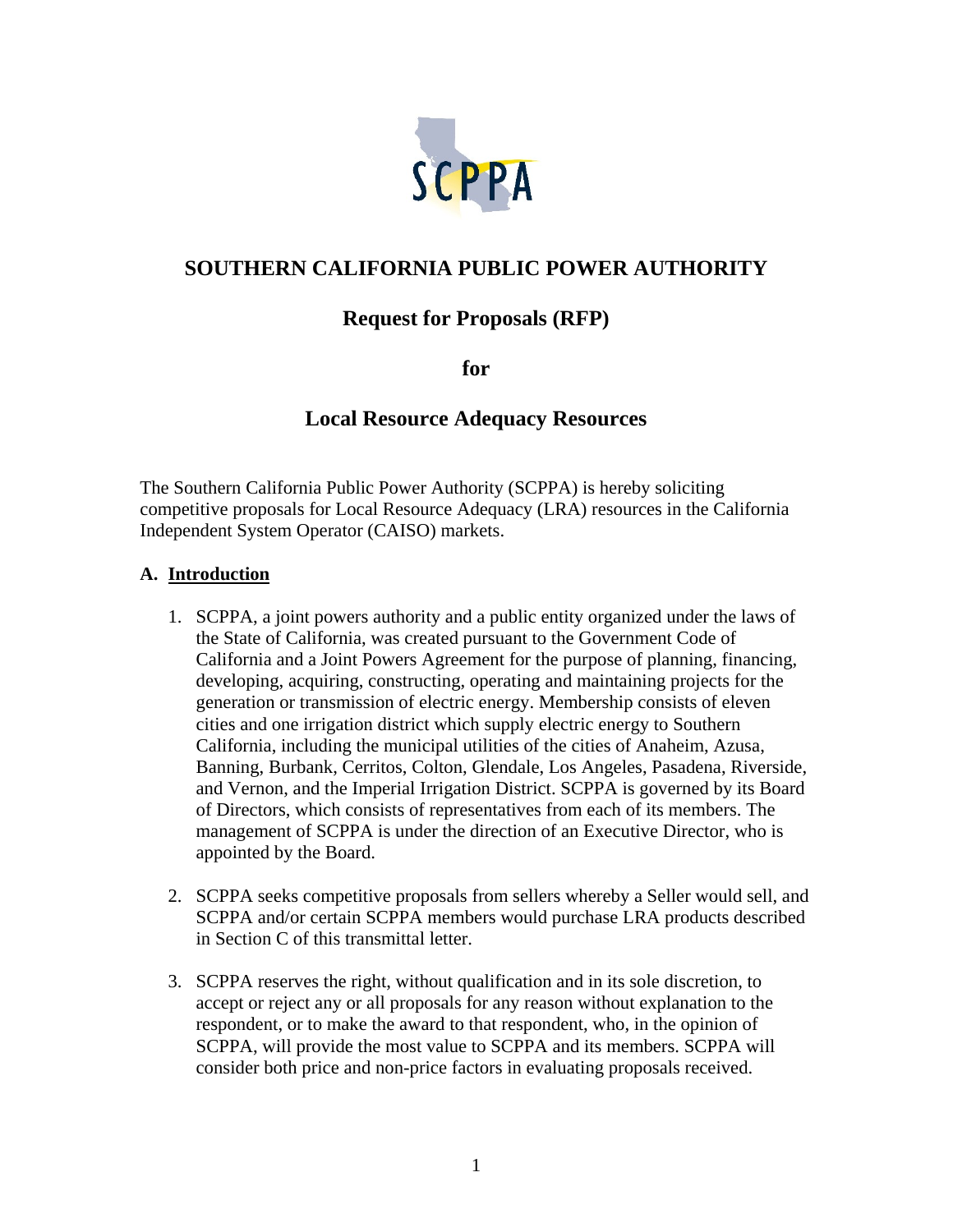

# **SOUTHERN CALIFORNIA PUBLIC POWER AUTHORITY**

# **Request for Proposals (RFP)**

**for** 

## **Local Resource Adequacy Resources**

The Southern California Public Power Authority (SCPPA) is hereby soliciting competitive proposals for Local Resource Adequacy (LRA) resources in the California Independent System Operator (CAISO) markets.

#### **A. Introduction**

- 1. SCPPA, a joint powers authority and a public entity organized under the laws of the State of California, was created pursuant to the Government Code of California and a Joint Powers Agreement for the purpose of planning, financing, developing, acquiring, constructing, operating and maintaining projects for the generation or transmission of electric energy. Membership consists of eleven cities and one irrigation district which supply electric energy to Southern California, including the municipal utilities of the cities of Anaheim, Azusa, Banning, Burbank, Cerritos, Colton, Glendale, Los Angeles, Pasadena, Riverside, and Vernon, and the Imperial Irrigation District. SCPPA is governed by its Board of Directors, which consists of representatives from each of its members. The management of SCPPA is under the direction of an Executive Director, who is appointed by the Board.
- 2. SCPPA seeks competitive proposals from sellers whereby a Seller would sell, and SCPPA and/or certain SCPPA members would purchase LRA products described in Section C of this transmittal letter.
- 3. SCPPA reserves the right, without qualification and in its sole discretion, to accept or reject any or all proposals for any reason without explanation to the respondent, or to make the award to that respondent, who, in the opinion of SCPPA, will provide the most value to SCPPA and its members. SCPPA will consider both price and non-price factors in evaluating proposals received.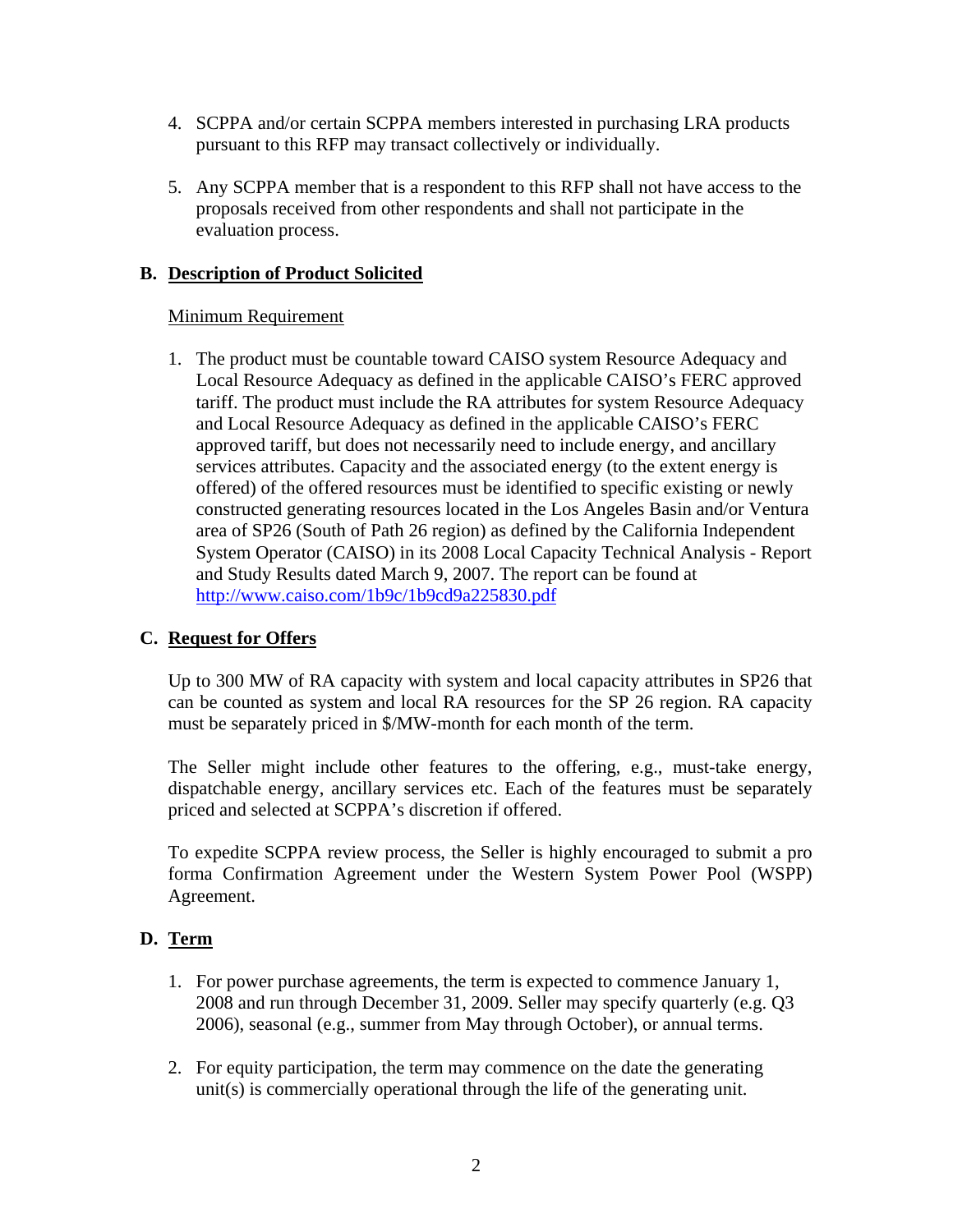- 4. SCPPA and/or certain SCPPA members interested in purchasing LRA products pursuant to this RFP may transact collectively or individually.
- 5. Any SCPPA member that is a respondent to this RFP shall not have access to the proposals received from other respondents and shall not participate in the evaluation process.

### **B. Description of Product Solicited**

### Minimum Requirement

1. The product must be countable toward CAISO system Resource Adequacy and Local Resource Adequacy as defined in the applicable CAISO's FERC approved tariff. The product must include the RA attributes for system Resource Adequacy and Local Resource Adequacy as defined in the applicable CAISO's FERC approved tariff, but does not necessarily need to include energy, and ancillary services attributes. Capacity and the associated energy (to the extent energy is offered) of the offered resources must be identified to specific existing or newly constructed generating resources located in the Los Angeles Basin and/or Ventura area of SP26 (South of Path 26 region) as defined by the California Independent System Operator (CAISO) in its 2008 Local Capacity Technical Analysis - Report and Study Results dated March 9, 2007. The report can be found at http://www.caiso.com/1b9c/1b9cd9a225830.pdf

## **C. Request for Offers**

Up to 300 MW of RA capacity with system and local capacity attributes in SP26 that can be counted as system and local RA resources for the SP 26 region. RA capacity must be separately priced in \$/MW-month for each month of the term.

The Seller might include other features to the offering, e.g., must-take energy, dispatchable energy, ancillary services etc. Each of the features must be separately priced and selected at SCPPA's discretion if offered.

To expedite SCPPA review process, the Seller is highly encouraged to submit a pro forma Confirmation Agreement under the Western System Power Pool (WSPP) Agreement.

### **D. Term**

- 1. For power purchase agreements, the term is expected to commence January 1, 2008 and run through December 31, 2009. Seller may specify quarterly (e.g. Q3 2006), seasonal (e.g., summer from May through October), or annual terms.
- 2. For equity participation, the term may commence on the date the generating unit(s) is commercially operational through the life of the generating unit.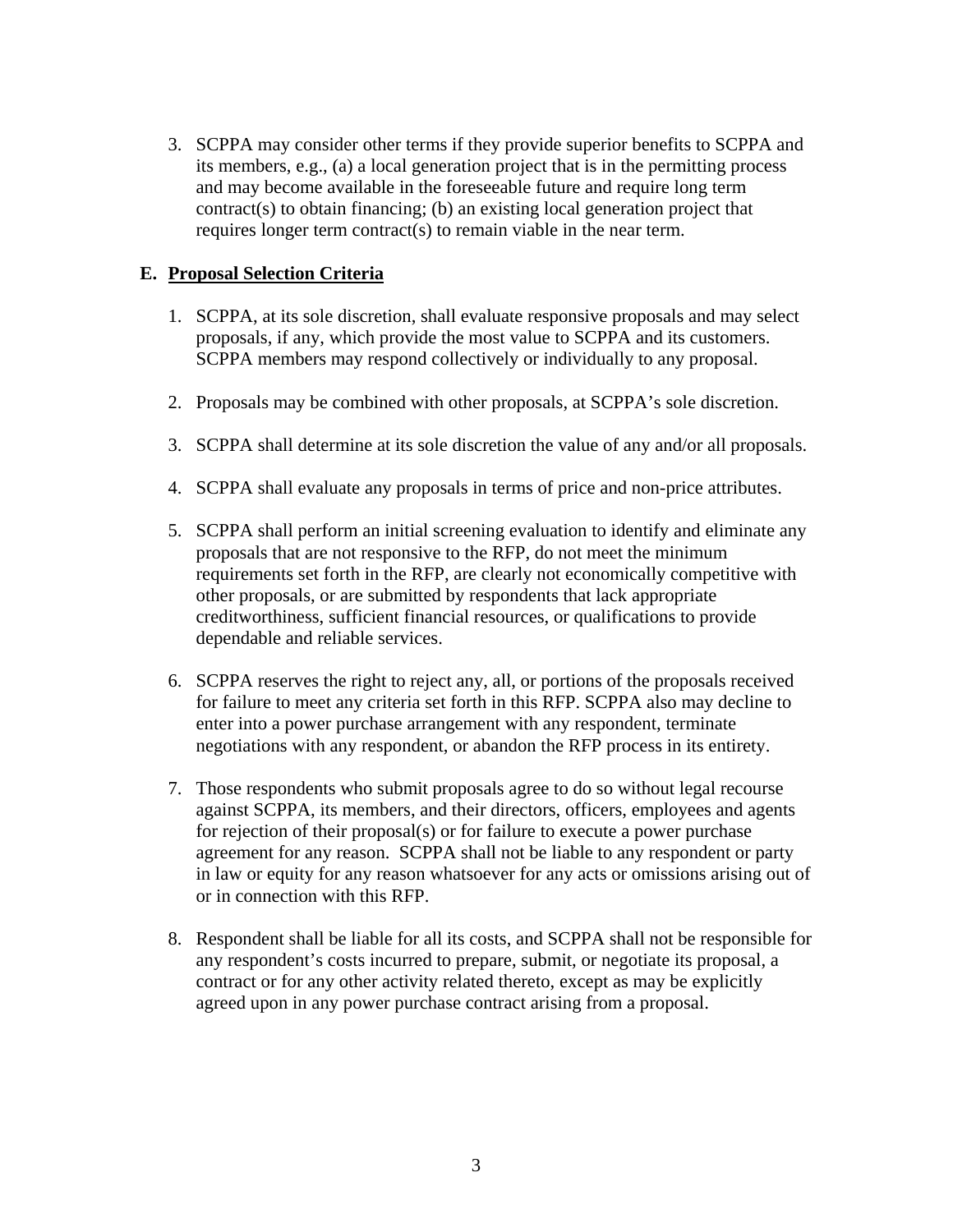3. SCPPA may consider other terms if they provide superior benefits to SCPPA and its members, e.g., (a) a local generation project that is in the permitting process and may become available in the foreseeable future and require long term contract(s) to obtain financing; (b) an existing local generation project that requires longer term contract(s) to remain viable in the near term.

#### **E. Proposal Selection Criteria**

- 1. SCPPA, at its sole discretion, shall evaluate responsive proposals and may select proposals, if any, which provide the most value to SCPPA and its customers. SCPPA members may respond collectively or individually to any proposal.
- 2. Proposals may be combined with other proposals, at SCPPA's sole discretion.
- 3. SCPPA shall determine at its sole discretion the value of any and/or all proposals.
- 4. SCPPA shall evaluate any proposals in terms of price and non-price attributes.
- 5. SCPPA shall perform an initial screening evaluation to identify and eliminate any proposals that are not responsive to the RFP, do not meet the minimum requirements set forth in the RFP, are clearly not economically competitive with other proposals, or are submitted by respondents that lack appropriate creditworthiness, sufficient financial resources, or qualifications to provide dependable and reliable services.
- 6. SCPPA reserves the right to reject any, all, or portions of the proposals received for failure to meet any criteria set forth in this RFP. SCPPA also may decline to enter into a power purchase arrangement with any respondent, terminate negotiations with any respondent, or abandon the RFP process in its entirety.
- 7. Those respondents who submit proposals agree to do so without legal recourse against SCPPA, its members, and their directors, officers, employees and agents for rejection of their proposal(s) or for failure to execute a power purchase agreement for any reason. SCPPA shall not be liable to any respondent or party in law or equity for any reason whatsoever for any acts or omissions arising out of or in connection with this RFP.
- 8. Respondent shall be liable for all its costs, and SCPPA shall not be responsible for any respondent's costs incurred to prepare, submit, or negotiate its proposal, a contract or for any other activity related thereto, except as may be explicitly agreed upon in any power purchase contract arising from a proposal.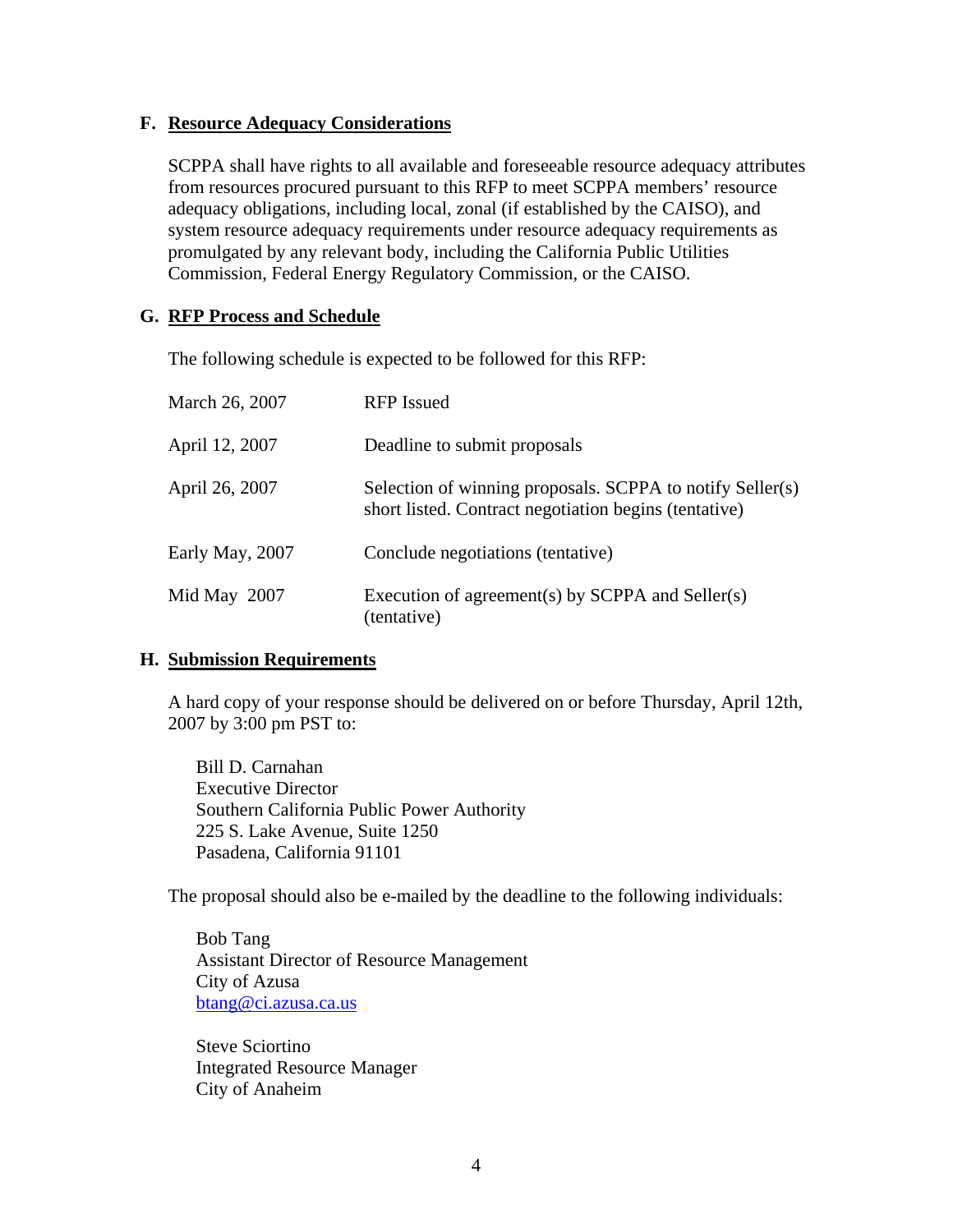#### **F. Resource Adequacy Considerations**

SCPPA shall have rights to all available and foreseeable resource adequacy attributes from resources procured pursuant to this RFP to meet SCPPA members' resource adequacy obligations, including local, zonal (if established by the CAISO), and system resource adequacy requirements under resource adequacy requirements as promulgated by any relevant body, including the California Public Utilities Commission, Federal Energy Regulatory Commission, or the CAISO.

#### **G. RFP Process and Schedule**

The following schedule is expected to be followed for this RFP:

| March 26, 2007  | <b>RFP</b> Issued                                                                                                  |
|-----------------|--------------------------------------------------------------------------------------------------------------------|
| April 12, 2007  | Deadline to submit proposals                                                                                       |
| April 26, 2007  | Selection of winning proposals. SCPPA to notify Seller(s)<br>short listed. Contract negotiation begins (tentative) |
| Early May, 2007 | Conclude negotiations (tentative)                                                                                  |
| Mid May 2007    | Execution of agreement(s) by SCPPA and Seller(s)<br>(tentative)                                                    |

#### **H. Submission Requirements**

A hard copy of your response should be delivered on or before Thursday, April 12th, 2007 by 3:00 pm PST to:

 Bill D. Carnahan Executive Director Southern California Public Power Authority 225 S. Lake Avenue, Suite 1250 Pasadena, California 91101

The proposal should also be e-mailed by the deadline to the following individuals:

Bob Tang Assistant Director of Resource Management City of Azusa btang@ci.azusa.ca.us

Steve Sciortino Integrated Resource Manager City of Anaheim